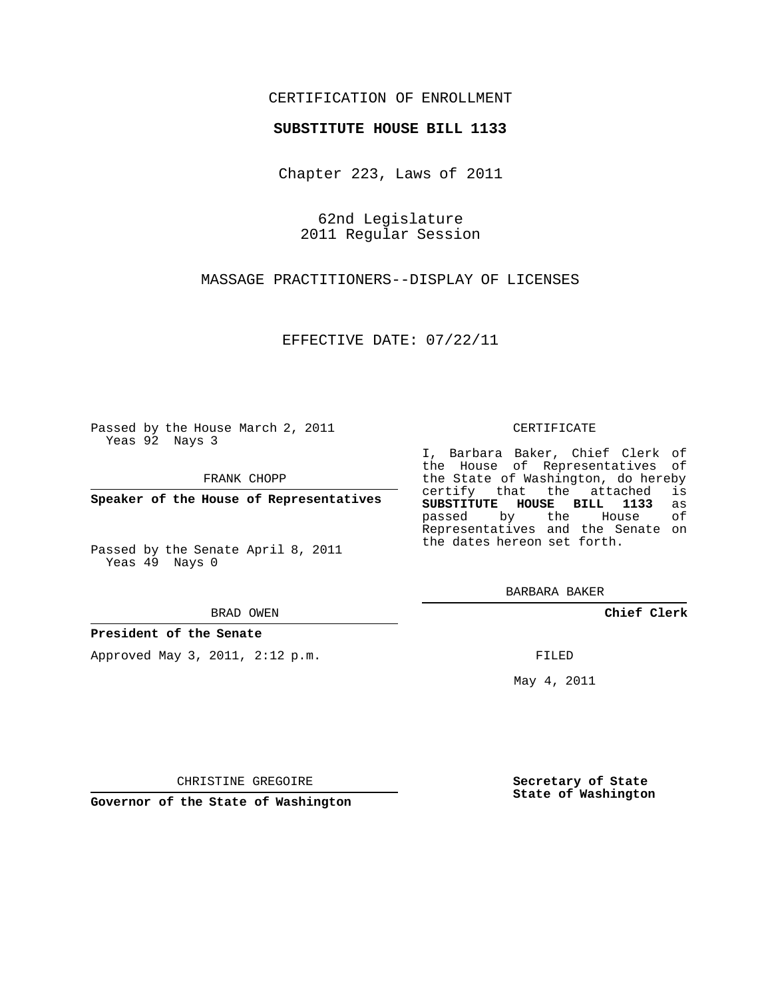## CERTIFICATION OF ENROLLMENT

### **SUBSTITUTE HOUSE BILL 1133**

Chapter 223, Laws of 2011

62nd Legislature 2011 Regular Session

MASSAGE PRACTITIONERS--DISPLAY OF LICENSES

EFFECTIVE DATE: 07/22/11

Passed by the House March 2, 2011 Yeas 92 Nays 3

FRANK CHOPP

**Speaker of the House of Representatives**

Passed by the Senate April 8, 2011 Yeas 49 Nays 0

#### BRAD OWEN

### **President of the Senate**

Approved May 3, 2011, 2:12 p.m.

#### CERTIFICATE

I, Barbara Baker, Chief Clerk of the House of Representatives of the State of Washington, do hereby<br>certify that the attached is certify that the attached **SUBSTITUTE HOUSE BILL 1133** as passed by the Representatives and the Senate on the dates hereon set forth.

BARBARA BAKER

**Chief Clerk**

FILED

May 4, 2011

**Secretary of State State of Washington**

CHRISTINE GREGOIRE

**Governor of the State of Washington**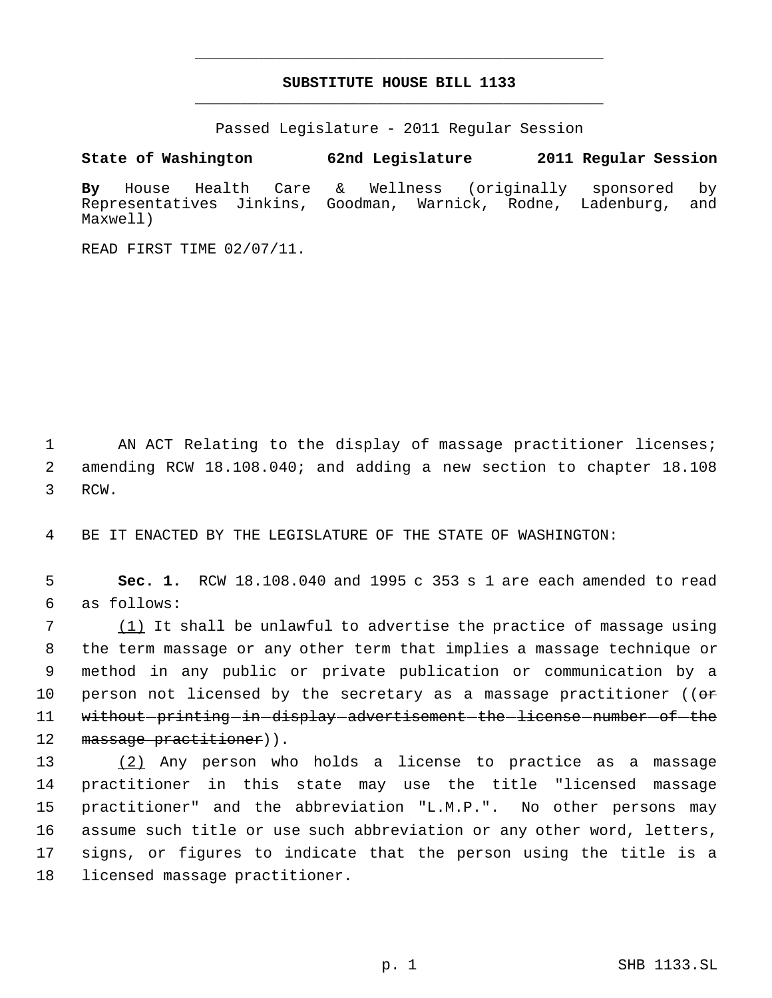# **SUBSTITUTE HOUSE BILL 1133** \_\_\_\_\_\_\_\_\_\_\_\_\_\_\_\_\_\_\_\_\_\_\_\_\_\_\_\_\_\_\_\_\_\_\_\_\_\_\_\_\_\_\_\_\_

\_\_\_\_\_\_\_\_\_\_\_\_\_\_\_\_\_\_\_\_\_\_\_\_\_\_\_\_\_\_\_\_\_\_\_\_\_\_\_\_\_\_\_\_\_

Passed Legislature - 2011 Regular Session

**State of Washington 62nd Legislature 2011 Regular Session**

**By** House Health Care & Wellness (originally sponsored by Representatives Jinkins, Goodman, Warnick, Rodne, Ladenburg, and Maxwell)

READ FIRST TIME 02/07/11.

1 AN ACT Relating to the display of massage practitioner licenses; 2 amending RCW 18.108.040; and adding a new section to chapter 18.108 3 RCW.

4 BE IT ENACTED BY THE LEGISLATURE OF THE STATE OF WASHINGTON:

 5 **Sec. 1.** RCW 18.108.040 and 1995 c 353 s 1 are each amended to read 6 as follows:

7 (1) It shall be unlawful to advertise the practice of massage using 8 the term massage or any other term that implies a massage technique or 9 method in any public or private publication or communication by a 10 person not licensed by the secretary as a massage practitioner (( $\theta$ \* 11 without printing in display advertisement the license number of the 12 massage practitioner)).

 (2) Any person who holds a license to practice as a massage practitioner in this state may use the title "licensed massage practitioner" and the abbreviation "L.M.P.". No other persons may assume such title or use such abbreviation or any other word, letters, signs, or figures to indicate that the person using the title is a licensed massage practitioner.